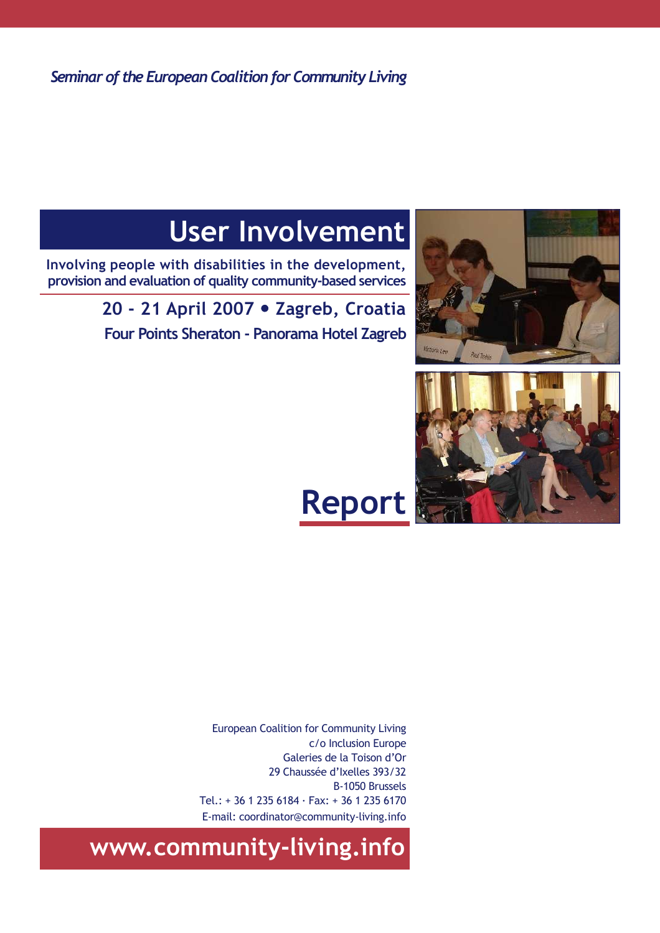Seminar of the European Coalition for Community Living

# User Involvement

Involving people with disabilities in the development, provision and evaluation of quality community-based services

> 20 - 21 April 2007 · Zagreb, Croatia Four Points Sheraton - Panorama Hotel Zagreb





# Report

European Coalition for Community Living c/o Inclusion Europe Galeries de la Toison d'Or 29 Chaussée d'Ixelles 393/32 B-1050 Brussels Tel.: + 36 1 235 6184 · Fax: + 36 1 235 6170 E-mail: coordinator@community-living.info

www.community-living.info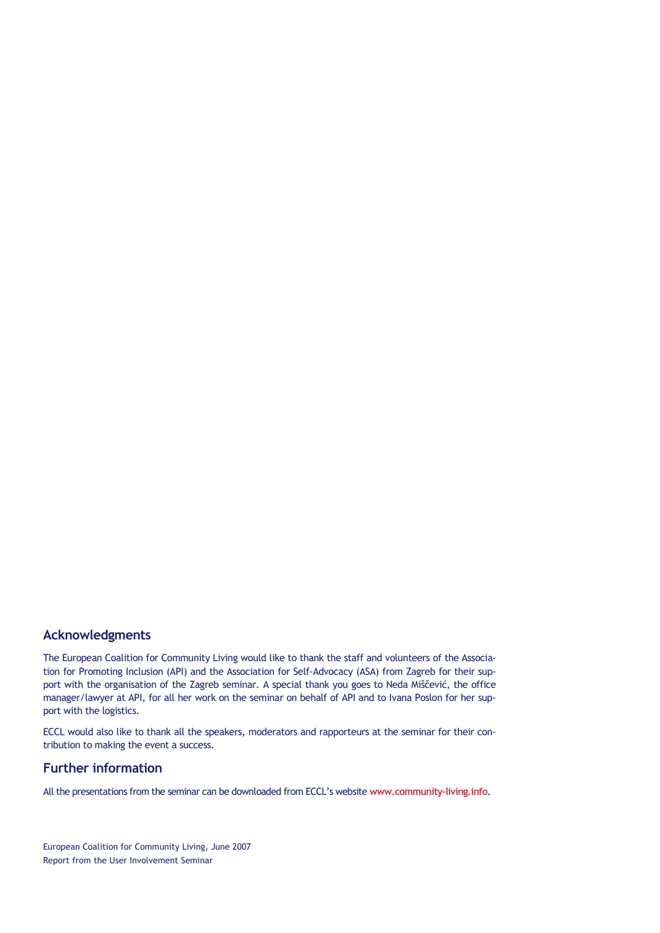## Acknowledgments

The European Coalition for Community Living would like to thank the staff and volunteers of the Association for Promoting Inclusion (API) and the Association for Self-Advocacy (ASA) from Zagreb for their support with the organisation of the Zagreb seminar. A special thank you goes to Neda Miščević, the office manager/lawyer at API, for all her work on the seminar on behalf of API and to Ivana Poslon for her support with the logistics.

ECCL would also like to thank all the speakers, moderators and rapporteurs at the seminar for their contribution to making the event a success.

## Further information

All the presentations from the seminar can be downloaded from ECCL's website www.community-living.info.

European Coalition for Community Living, June 2007 Report from the User Involvement Seminar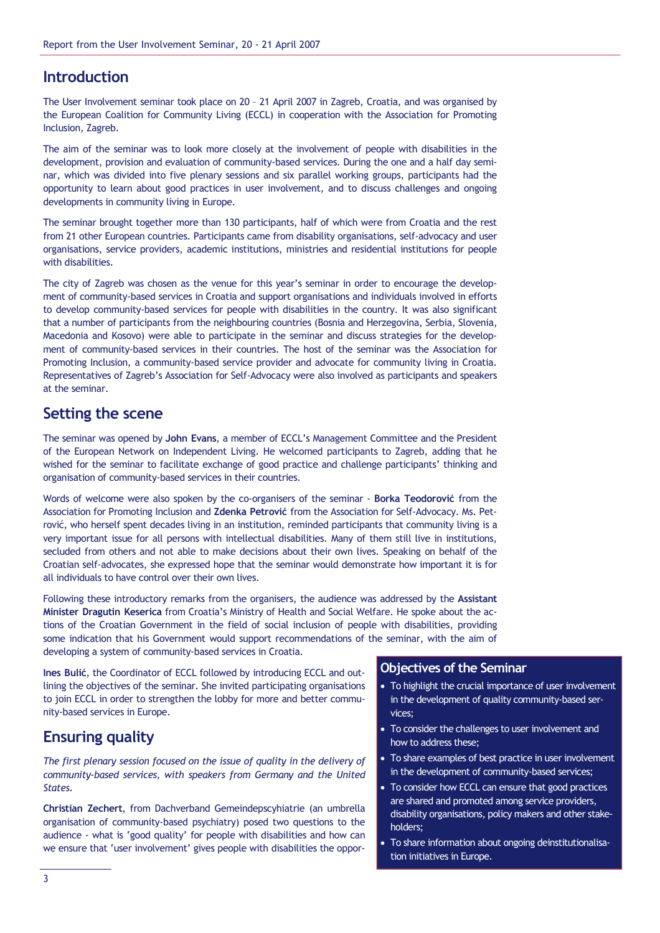# **Introduction**

The User Involvement seminar took place on 20 – 21 April 2007 in Zagreb, Croatia, and was organised by the European Coalition for Community Living (ECCL) in cooperation with the Association for Promoting Inclusion, Zagreb.

The aim of the seminar was to look more closely at the involvement of people with disabilities in the development, provision and evaluation of community-based services. During the one and a half day seminar, which was divided into five plenary sessions and six parallel working groups, participants had the opportunity to learn about good practices in user involvement, and to discuss challenges and ongoing developments in community living in Europe.

The seminar brought together more than 130 participants, half of which were from Croatia and the rest from 21 other European countries. Participants came from disability organisations, self-advocacy and user organisations, service providers, academic institutions, ministries and residential institutions for people with disabilities.

The city of Zagreb was chosen as the venue for this year's seminar in order to encourage the development of community-based services in Croatia and support organisations and individuals involved in efforts to develop community-based services for people with disabilities in the country. It was also significant that a number of participants from the neighbouring countries (Bosnia and Herzegovina, Serbia, Slovenia, Macedonia and Kosovo) were able to participate in the seminar and discuss strategies for the development of community-based services in their countries. The host of the seminar was the Association for Promoting Inclusion, a community-based service provider and advocate for community living in Croatia. Representatives of Zagreb's Association for Self-Advocacy were also involved as participants and speakers at the seminar.

# Setting the scene

The seminar was opened by John Evans, a member of ECCL's Management Committee and the President of the European Network on Independent Living. He welcomed participants to Zagreb, adding that he wished for the seminar to facilitate exchange of good practice and challenge participants' thinking and organisation of community-based services in their countries.

Words of welcome were also spoken by the co-organisers of the seminar - Borka Teodorović from the Association for Promoting Inclusion and Zdenka Petrović from the Association for Self-Advocacy. Ms. Petrović, who herself spent decades living in an institution, reminded participants that community living is a very important issue for all persons with intellectual disabilities. Many of them still live in institutions, secluded from others and not able to make decisions about their own lives. Speaking on behalf of the Croatian self-advocates, she expressed hope that the seminar would demonstrate how important it is for all individuals to have control over their own lives.

Following these introductory remarks from the organisers, the audience was addressed by the Assistant Minister Dragutin Keserica from Croatia's Ministry of Health and Social Welfare. He spoke about the actions of the Croatian Government in the field of social inclusion of people with disabilities, providing some indication that his Government would support recommendations of the seminar, with the aim of developing a system of community-based services in Croatia.

Ines Bulić, the Coordinator of ECCL followed by introducing ECCL and outlining the objectives of the seminar. She invited participating organisations to join ECCL in order to strengthen the lobby for more and better community-based services in Europe.

# Ensuring quality

The first plenary session focused on the issue of quality in the delivery of community-based services, with speakers from Germany and the United States.

Christian Zechert, from Dachverband Gemeindepscyhiatrie (an umbrella organisation of community-based psychiatry) posed two questions to the audience - what is 'good quality' for people with disabilities and how can we ensure that 'user involvement' gives people with disabilities the oppor-

## Objectives of the Seminar

- To highlight the crucial importance of user involvement in the development of quality community-based services;
- To consider the challenges to user involvement and how to address these;
- To share examples of best practice in user involvement in the development of community-based services;
- To consider how ECCL can ensure that good practices are shared and promoted among service providers, disability organisations, policy makers and other stakeholders;
- To share information about ongoing deinstitutionalisation initiatives in Europe.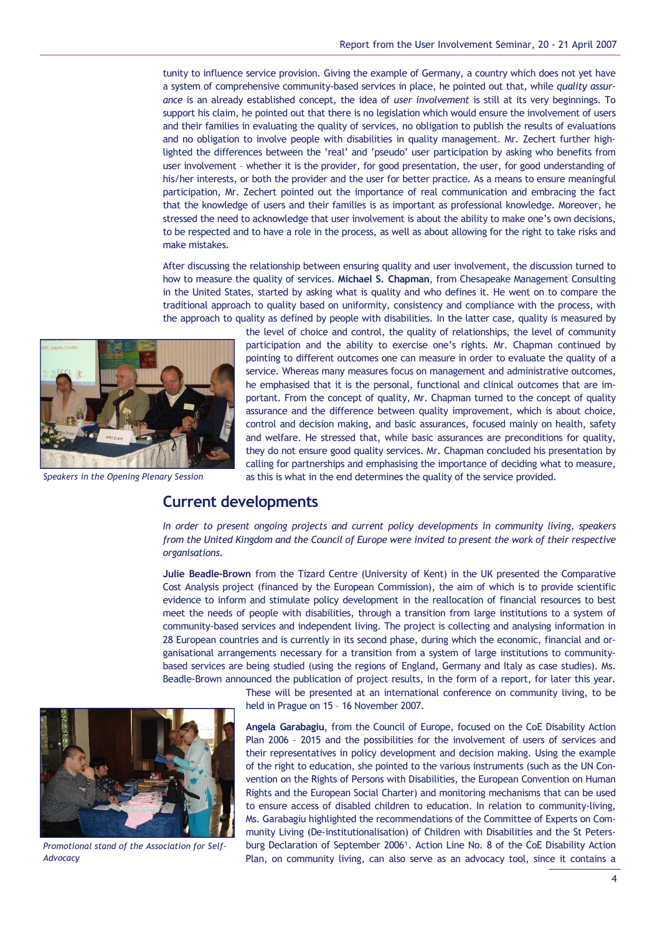tunity to influence service provision. Giving the example of Germany, a country which does not yet have a system of comprehensive community-based services in place, he pointed out that, while quality assurance is an already established concept, the idea of *user involvement* is still at its very beginnings. To support his claim, he pointed out that there is no legislation which would ensure the involvement of users and their families in evaluating the quality of services, no obligation to publish the results of evaluations and no obligation to involve people with disabilities in quality management. Mr. Zechert further highlighted the differences between the 'real' and 'pseudo' user participation by asking who benefits from user involvement – whether it is the provider, for good presentation, the user, for good understanding of his/her interests, or both the provider and the user for better practice. As a means to ensure meaningful participation, Mr. Zechert pointed out the importance of real communication and embracing the fact that the knowledge of users and their families is as important as professional knowledge. Moreover, he stressed the need to acknowledge that user involvement is about the ability to make one's own decisions, to be respected and to have a role in the process, as well as about allowing for the right to take risks and make mistakes.

After discussing the relationship between ensuring quality and user involvement, the discussion turned to how to measure the quality of services. Michael S. Chapman, from Chesapeake Management Consulting in the United States, started by asking what is quality and who defines it. He went on to compare the traditional approach to quality based on uniformity, consistency and compliance with the process, with the approach to quality as defined by people with disabilities. In the latter case, quality is measured by



Speakers in the Opening Plenary Session

the level of choice and control, the quality of relationships, the level of community participation and the ability to exercise one's rights. Mr. Chapman continued by pointing to different outcomes one can measure in order to evaluate the quality of a service. Whereas many measures focus on management and administrative outcomes, he emphasised that it is the personal, functional and clinical outcomes that are important. From the concept of quality, Mr. Chapman turned to the concept of quality assurance and the difference between quality improvement, which is about choice, control and decision making, and basic assurances, focused mainly on health, safety and welfare. He stressed that, while basic assurances are preconditions for quality, they do not ensure good quality services. Mr. Chapman concluded his presentation by calling for partnerships and emphasising the importance of deciding what to measure, as this is what in the end determines the quality of the service provided.

# Current developments

In order to present ongoing projects and current policy developments in community living, speakers from the United Kingdom and the Council of Europe were invited to present the work of their respective organisations.

Julie Beadle-Brown from the Tizard Centre (University of Kent) in the UK presented the Comparative Cost Analysis project (financed by the European Commission), the aim of which is to provide scientific evidence to inform and stimulate policy development in the reallocation of financial resources to best meet the needs of people with disabilities, through a transition from large institutions to a system of community-based services and independent living. The project is collecting and analysing information in 28 European countries and is currently in its second phase, during which the economic, financial and organisational arrangements necessary for a transition from a system of large institutions to communitybased services are being studied (using the regions of England, Germany and Italy as case studies). Ms. Beadle-Brown announced the publication of project results, in the form of a report, for later this year.



Promotional stand of the Association for Self-Advocacy

These will be presented at an international conference on community living, to be held in Prague on 15 – 16 November 2007.

Angela Garabagiu, from the Council of Europe, focused on the CoE Disability Action Plan 2006 – 2015 and the possibilities for the involvement of users of services and their representatives in policy development and decision making. Using the example of the right to education, she pointed to the various instruments (such as the UN Convention on the Rights of Persons with Disabilities, the European Convention on Human Rights and the European Social Charter) and monitoring mechanisms that can be used to ensure access of disabled children to education. In relation to community-living, Ms. Garabagiu highlighted the recommendations of the Committee of Experts on Community Living (De-institutionalisation) of Children with Disabilities and the St Petersburg Declaration of September 2006<sup>1</sup>. Action Line No. 8 of the CoE Disability Action Plan, on community living, can also serve as an advocacy tool, since it contains a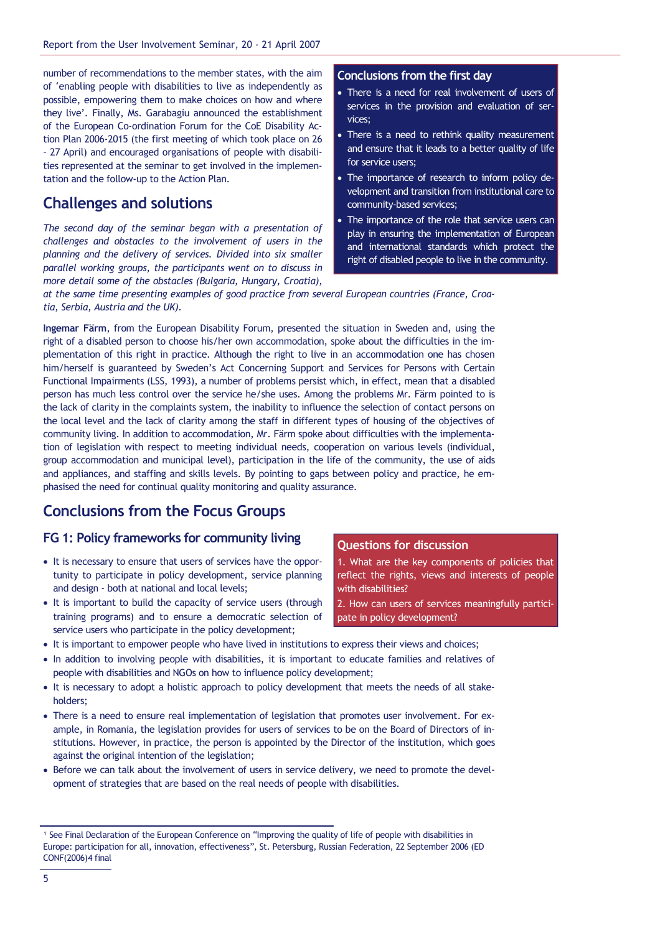number of recommendations to the member states, with the aim of 'enabling people with disabilities to live as independently as possible, empowering them to make choices on how and where they live'. Finally, Ms. Garabagiu announced the establishment of the European Co-ordination Forum for the CoE Disability Action Plan 2006-2015 (the first meeting of which took place on 26 – 27 April) and encouraged organisations of people with disabilities represented at the seminar to get involved in the implementation and the follow-up to the Action Plan.

# Challenges and solutions

The second day of the seminar began with a presentation of challenges and obstacles to the involvement of users in the planning and the delivery of services. Divided into six smaller parallel working groups, the participants went on to discuss in more detail some of the obstacles (Bulgaria, Hungary, Croatia),

# Conclusions from the first day

- There is a need for real involvement of users of services in the provision and evaluation of services;
- There is a need to rethink quality measurement and ensure that it leads to a better quality of life for service users;
- The importance of research to inform policy development and transition from institutional care to community-based services;
- The importance of the role that service users can play in ensuring the implementation of European and international standards which protect the right of disabled people to live in the community.

at the same time presenting examples of good practice from several European countries (France, Croatia, Serbia, Austria and the UK).

Ingemar Färm, from the European Disability Forum, presented the situation in Sweden and, using the right of a disabled person to choose his/her own accommodation, spoke about the difficulties in the implementation of this right in practice. Although the right to live in an accommodation one has chosen him/herself is guaranteed by Sweden's Act Concerning Support and Services for Persons with Certain Functional Impairments (LSS, 1993), a number of problems persist which, in effect, mean that a disabled person has much less control over the service he/she uses. Among the problems Mr. Färm pointed to is the lack of clarity in the complaints system, the inability to influence the selection of contact persons on the local level and the lack of clarity among the staff in different types of housing of the objectives of community living. In addition to accommodation, Mr. Färm spoke about difficulties with the implementation of legislation with respect to meeting individual needs, cooperation on various levels (individual, group accommodation and municipal level), participation in the life of the community, the use of aids and appliances, and staffing and skills levels. By pointing to gaps between policy and practice, he emphasised the need for continual quality monitoring and quality assurance.

# Conclusions from the Focus Groups

## FG 1: Policy frameworks for community living

- It is necessary to ensure that users of services have the opportunity to participate in policy development, service planning and design - both at national and local levels;
- It is important to build the capacity of service users (through training programs) and to ensure a democratic selection of service users who participate in the policy development;

#### Questions for discussion

1. What are the key components of policies that reflect the rights, views and interests of people with disabilities?

2. How can users of services meaningfully participate in policy development?

- It is important to empower people who have lived in institutions to express their views and choices;
- In addition to involving people with disabilities, it is important to educate families and relatives of people with disabilities and NGOs on how to influence policy development;
- It is necessary to adopt a holistic approach to policy development that meets the needs of all stakeholders;
- There is a need to ensure real implementation of legislation that promotes user involvement. For example, in Romania, the legislation provides for users of services to be on the Board of Directors of institutions. However, in practice, the person is appointed by the Director of the institution, which goes against the original intention of the legislation;
- Before we can talk about the involvement of users in service delivery, we need to promote the development of strategies that are based on the real needs of people with disabilities.

<sup>&</sup>lt;sup>1</sup> See Final Declaration of the European Conference on "Improving the quality of life of people with disabilities in Europe: participation for all, innovation, effectiveness", St. Petersburg, Russian Federation, 22 September 2006 (ED CONF(2006)4 final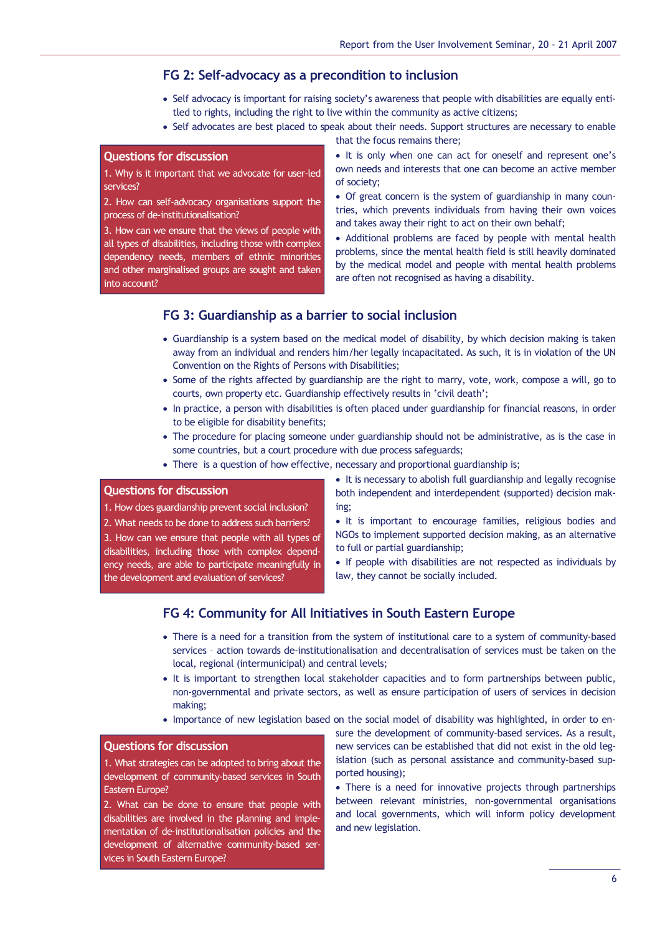## FG 2: Self-advocacy as a precondition to inclusion

- Self advocacy is important for raising society's awareness that people with disabilities are equally entitled to rights, including the right to live within the community as active citizens;
- Self advocates are best placed to speak about their needs. Support structures are necessary to enable

that the focus remains there;

## Questions for discussion

1. Why is it important that we advocate for user-led services?

2. How can self-advocacy organisations support the process of de-institutionalisation?

3. How can we ensure that the views of people with all types of disabilities, including those with complex dependency needs, members of ethnic minorities and other marginalised groups are sought and taken into account?

• It is only when one can act for oneself and represent one's own needs and interests that one can become an active member of society;

• Of great concern is the system of guardianship in many countries, which prevents individuals from having their own voices and takes away their right to act on their own behalf;

• Additional problems are faced by people with mental health problems, since the mental health field is still heavily dominated by the medical model and people with mental health problems are often not recognised as having a disability.

## FG 3: Guardianship as a barrier to social inclusion

- Guardianship is a system based on the medical model of disability, by which decision making is taken away from an individual and renders him/her legally incapacitated. As such, it is in violation of the UN Convention on the Rights of Persons with Disabilities;
- Some of the rights affected by guardianship are the right to marry, vote, work, compose a will, go to courts, own property etc. Guardianship effectively results in 'civil death';
- In practice, a person with disabilities is often placed under guardianship for financial reasons, in order to be eligible for disability benefits;
- The procedure for placing someone under guardianship should not be administrative, as is the case in some countries, but a court procedure with due process safeguards;
- There is a question of how effective, necessary and proportional guardianship is;

#### Questions for discussion

1. How does guardianship prevent social inclusion?

2. What needs to be done to address such barriers?

3. How can we ensure that people with all types of disabilities, including those with complex dependency needs, are able to participate meaningfully in the development and evaluation of services?

- It is necessary to abolish full guardianship and legally recognise both independent and interdependent (supported) decision making;
- It is important to encourage families, religious bodies and NGOs to implement supported decision making, as an alternative to full or partial guardianship;
- If people with disabilities are not respected as individuals by law, they cannot be socially included.

# FG 4: Community for All Initiatives in South Eastern Europe

- There is a need for a transition from the system of institutional care to a system of community-based services – action towards de-institutionalisation and decentralisation of services must be taken on the local, regional (intermunicipal) and central levels;
- It is important to strengthen local stakeholder capacities and to form partnerships between public, non-governmental and private sectors, as well as ensure participation of users of services in decision making;
- Importance of new legislation based on the social model of disability was highlighted, in order to en-

#### Questions for discussion

1. What strategies can be adopted to bring about the development of community-based services in South Eastern Europe?

2. What can be done to ensure that people with disabilities are involved in the planning and implementation of de-institutionalisation policies and the development of alternative community-based services in South Eastern Europe?

sure the development of community–based services. As a result, new services can be established that did not exist in the old legislation (such as personal assistance and community-based supported housing);

• There is a need for innovative projects through partnerships between relevant ministries, non-governmental organisations and local governments, which will inform policy development and new legislation.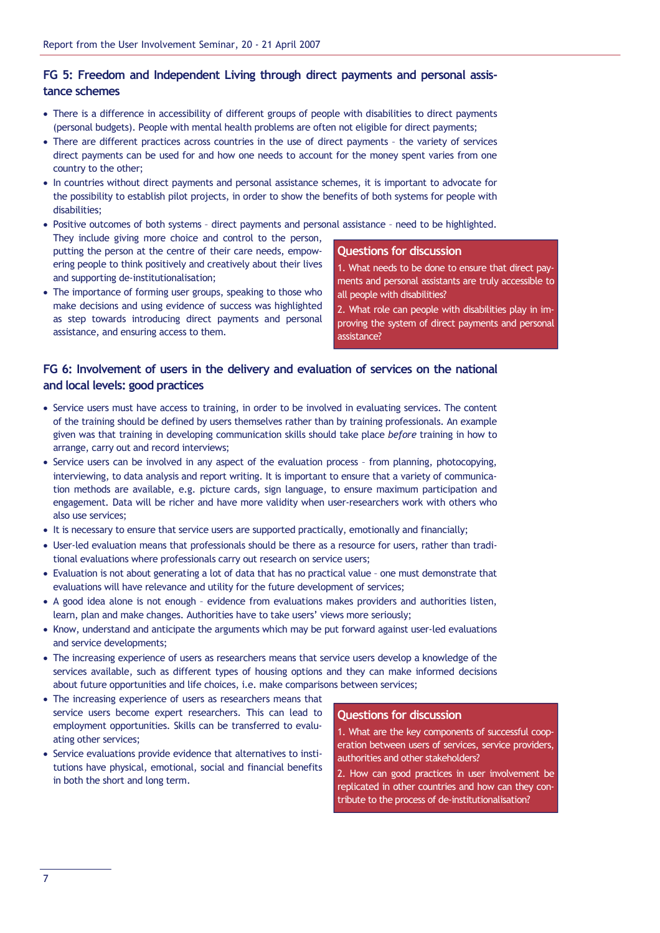# FG 5: Freedom and Independent Living through direct payments and personal assistance schemes

- There is a difference in accessibility of different groups of people with disabilities to direct payments (personal budgets). People with mental health problems are often not eligible for direct payments;
- There are different practices across countries in the use of direct payments the variety of services direct payments can be used for and how one needs to account for the money spent varies from one country to the other;
- In countries without direct payments and personal assistance schemes, it is important to advocate for the possibility to establish pilot projects, in order to show the benefits of both systems for people with disabilities;
- Positive outcomes of both systems direct payments and personal assistance need to be highlighted. They include giving more choice and control to the person, putting the person at the centre of their care needs, empowering people to think positively and creatively about their lives and supporting de-institutionalisation; Questions for discussion
- The importance of forming user groups, speaking to those who make decisions and using evidence of success was highlighted as step towards introducing direct payments and personal assistance, and ensuring access to them.
- 1. What needs to be done to ensure that direct payments and personal assistants are truly accessible to all people with disabilities?
- 2. What role can people with disabilities play in improving the system of direct payments and personal assistance?

## FG 6: Involvement of users in the delivery and evaluation of services on the national and local levels: good practices

- Service users must have access to training, in order to be involved in evaluating services. The content of the training should be defined by users themselves rather than by training professionals. An example given was that training in developing communication skills should take place before training in how to arrange, carry out and record interviews;
- Service users can be involved in any aspect of the evaluation process from planning, photocopying, interviewing, to data analysis and report writing. It is important to ensure that a variety of communication methods are available, e.g. picture cards, sign language, to ensure maximum participation and engagement. Data will be richer and have more validity when user-researchers work with others who also use services;
- It is necessary to ensure that service users are supported practically, emotionally and financially;
- User-led evaluation means that professionals should be there as a resource for users, rather than traditional evaluations where professionals carry out research on service users;
- Evaluation is not about generating a lot of data that has no practical value one must demonstrate that evaluations will have relevance and utility for the future development of services;
- A good idea alone is not enough evidence from evaluations makes providers and authorities listen, learn, plan and make changes. Authorities have to take users' views more seriously;
- Know, understand and anticipate the arguments which may be put forward against user-led evaluations and service developments;
- The increasing experience of users as researchers means that service users develop a knowledge of the services available, such as different types of housing options and they can make informed decisions about future opportunities and life choices, i.e. make comparisons between services;
- The increasing experience of users as researchers means that service users become expert researchers. This can lead to employment opportunities. Skills can be transferred to evaluating other services;
- Service evaluations provide evidence that alternatives to institutions have physical, emotional, social and financial benefits in both the short and long term.

#### Questions for discussion

1. What are the key components of successful cooperation between users of services, service providers, authorities and other stakeholders?

2. How can good practices in user involvement be replicated in other countries and how can they contribute to the process of de-institutionalisation?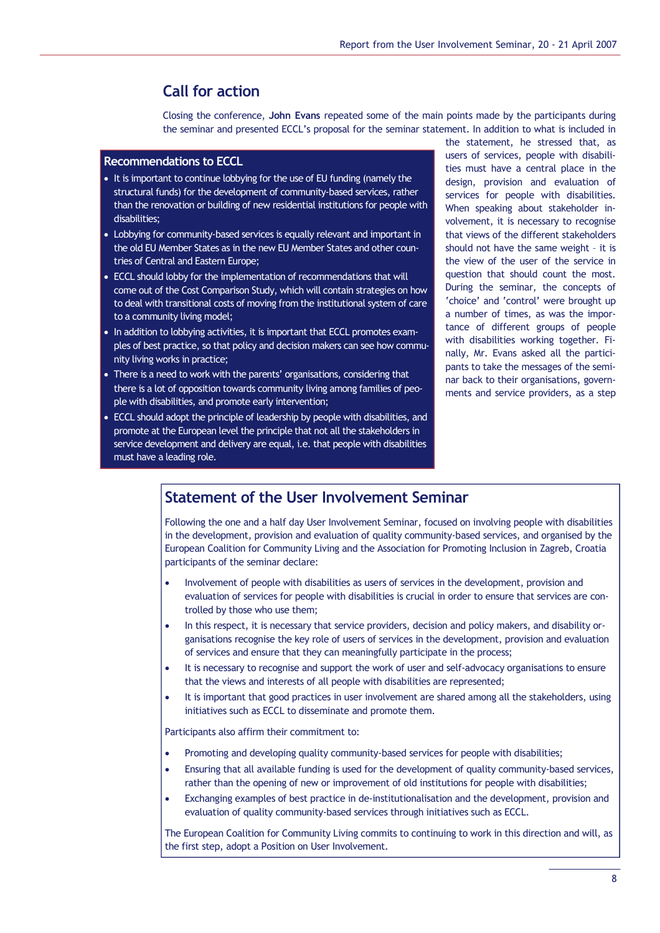# Call for action

Closing the conference, John Evans repeated some of the main points made by the participants during the seminar and presented ECCL's proposal for the seminar statement. In addition to what is included in

## Recommendations to ECCL

- It is important to continue lobbying for the use of EU funding (namely the structural funds) for the development of community-based services, rather than the renovation or building of new residential institutions for people with disabilities;
- Lobbying for community-based services is equally relevant and important in the old EU Member States as in the new EU Member States and other countries of Central and Eastern Europe;
- ECCL should lobby for the implementation of recommendations that will come out of the Cost Comparison Study, which will contain strategies on how to deal with transitional costs of moving from the institutional system of care to a community living model;
- In addition to lobbying activities, it is important that ECCL promotes examples of best practice, so that policy and decision makers can see how community living works in practice;
- There is a need to work with the parents' organisations, considering that there is a lot of opposition towards community living among families of people with disabilities, and promote early intervention;
- ECCL should adopt the principle of leadership by people with disabilities, and promote at the European level the principle that not all the stakeholders in service development and delivery are equal, i.e. that people with disabilities must have a leading role.

the statement, he stressed that, as users of services, people with disabilities must have a central place in the design, provision and evaluation of services for people with disabilities. When speaking about stakeholder involvement, it is necessary to recognise that views of the different stakeholders should not have the same weight – it is the view of the user of the service in question that should count the most. During the seminar, the concepts of 'choice' and 'control' were brought up a number of times, as was the importance of different groups of people with disabilities working together. Finally, Mr. Evans asked all the participants to take the messages of the seminar back to their organisations, governments and service providers, as a step

# Statement of the User Involvement Seminar

Following the one and a half day User Involvement Seminar, focused on involving people with disabilities in the development, provision and evaluation of quality community-based services, and organised by the European Coalition for Community Living and the Association for Promoting Inclusion in Zagreb, Croatia participants of the seminar declare:

- Involvement of people with disabilities as users of services in the development, provision and evaluation of services for people with disabilities is crucial in order to ensure that services are controlled by those who use them;
- In this respect, it is necessary that service providers, decision and policy makers, and disability organisations recognise the key role of users of services in the development, provision and evaluation of services and ensure that they can meaningfully participate in the process;
- It is necessary to recognise and support the work of user and self-advocacy organisations to ensure that the views and interests of all people with disabilities are represented;
- It is important that good practices in user involvement are shared among all the stakeholders, using initiatives such as ECCL to disseminate and promote them.

Participants also affirm their commitment to:

- Promoting and developing quality community-based services for people with disabilities;
- Ensuring that all available funding is used for the development of quality community-based services, rather than the opening of new or improvement of old institutions for people with disabilities;
- Exchanging examples of best practice in de-institutionalisation and the development, provision and evaluation of quality community-based services through initiatives such as ECCL.

The European Coalition for Community Living commits to continuing to work in this direction and will, as the first step, adopt a Position on User Involvement.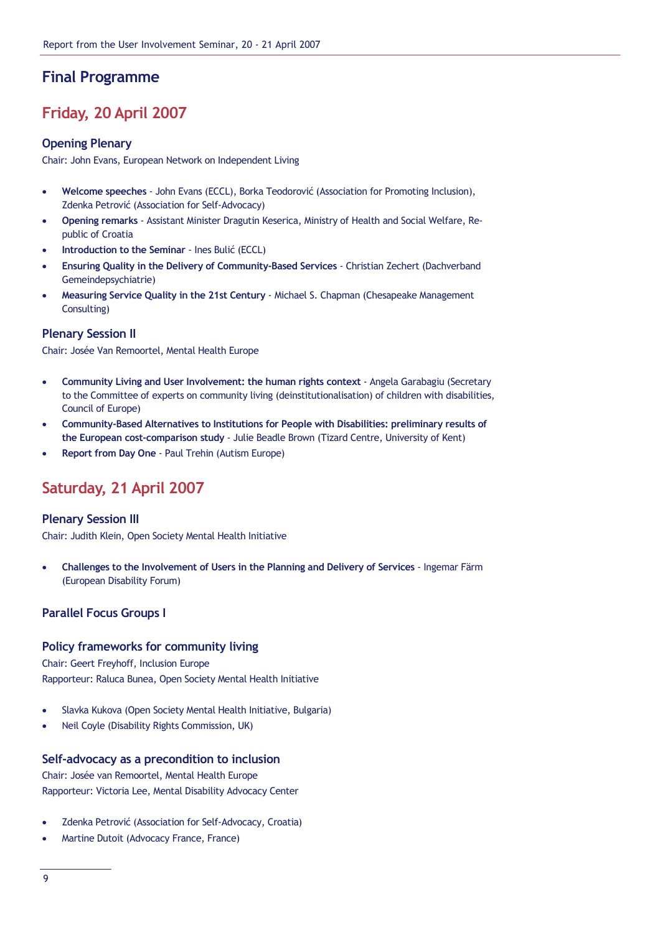# Final Programme

# Friday, 20 April 2007

## Opening Plenary

Chair: John Evans, European Network on Independent Living

- Welcome speeches John Evans (ECCL), Borka Teodorović (Association for Promoting Inclusion), Zdenka Petrović (Association for Self-Advocacy)
- Opening remarks Assistant Minister Dragutin Keserica, Ministry of Health and Social Welfare, Republic of Croatia
- Introduction to the Seminar Ines Bulić (ECCL)
- Ensuring Quality in the Delivery of Community-Based Services Christian Zechert (Dachverband Gemeindepsychiatrie)
- Measuring Service Quality in the 21st Century Michael S. Chapman (Chesapeake Management Consulting)

## Plenary Session II

Chair: Josée Van Remoortel, Mental Health Europe

- Community Living and User Involvement: the human rights context Angela Garabagiu (Secretary to the Committee of experts on community living (deinstitutionalisation) of children with disabilities, Council of Europe)
- Community-Based Alternatives to Institutions for People with Disabilities: preliminary results of the European cost-comparison study - Julie Beadle Brown (Tizard Centre, University of Kent)
- Report from Day One Paul Trehin (Autism Europe)

# Saturday, 21 April 2007

## Plenary Session III

Chair: Judith Klein, Open Society Mental Health Initiative

• Challenges to the Involvement of Users in the Planning and Delivery of Services - Ingemar Färm (European Disability Forum)

## Parallel Focus Groups I

## Policy frameworks for community living

Chair: Geert Freyhoff, Inclusion Europe Rapporteur: Raluca Bunea, Open Society Mental Health Initiative

- Slavka Kukova (Open Society Mental Health Initiative, Bulgaria)
- Neil Coyle (Disability Rights Commission, UK)

## Self-advocacy as a precondition to inclusion

Chair: Josée van Remoortel, Mental Health Europe Rapporteur: Victoria Lee, Mental Disability Advocacy Center

- Zdenka Petrović (Association for Self-Advocacy, Croatia)
- Martine Dutoit (Advocacy France, France)